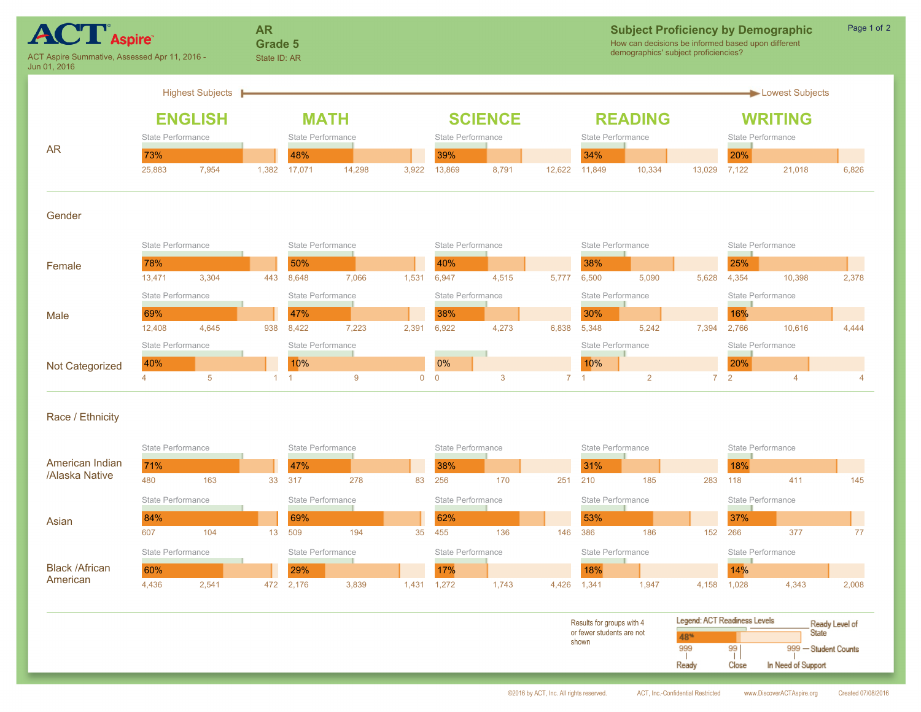